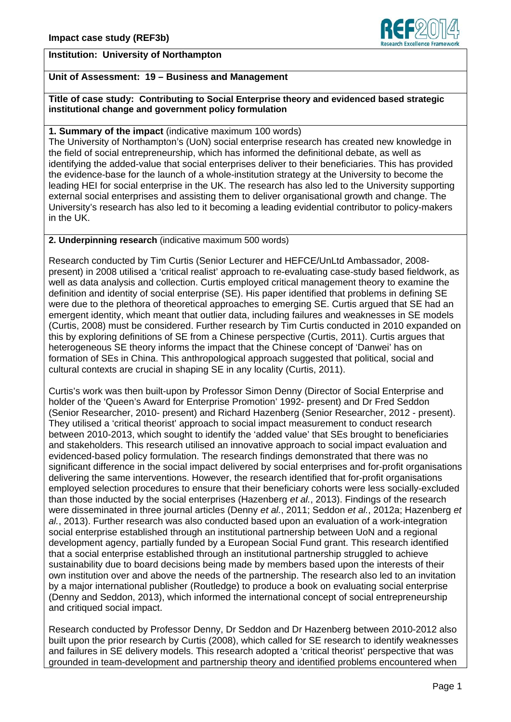

### **Institution: University of Northampton**

# **Unit of Assessment: 19 – Business and Management**

**Title of case study: Contributing to Social Enterprise theory and evidenced based strategic institutional change and government policy formulation**

### **1. Summary of the impact** (indicative maximum 100 words)

The University of Northampton's (UoN) social enterprise research has created new knowledge in the field of social entrepreneurship, which has informed the definitional debate, as well as identifying the added-value that social enterprises deliver to their beneficiaries. This has provided the evidence-base for the launch of a whole-institution strategy at the University to become the leading HEI for social enterprise in the UK. The research has also led to the University supporting external social enterprises and assisting them to deliver organisational growth and change. The University's research has also led to it becoming a leading evidential contributor to policy-makers in the UK.

#### **2. Underpinning research** (indicative maximum 500 words)

Research conducted by Tim Curtis (Senior Lecturer and HEFCE/UnLtd Ambassador, 2008 present) in 2008 utilised a 'critical realist' approach to re-evaluating case-study based fieldwork, as well as data analysis and collection. Curtis employed critical management theory to examine the definition and identity of social enterprise (SE). His paper identified that problems in defining SE were due to the plethora of theoretical approaches to emerging SE. Curtis argued that SE had an emergent identity, which meant that outlier data, including failures and weaknesses in SE models (Curtis, 2008) must be considered. Further research by Tim Curtis conducted in 2010 expanded on this by exploring definitions of SE from a Chinese perspective (Curtis, 2011). Curtis argues that heterogeneous SE theory informs the impact that the Chinese concept of 'Danwei' has on formation of SEs in China. This anthropological approach suggested that political, social and cultural contexts are crucial in shaping SE in any locality (Curtis, 2011).

Curtis's work was then built-upon by Professor Simon Denny (Director of Social Enterprise and holder of the 'Queen's Award for Enterprise Promotion' 1992- present) and Dr Fred Seddon (Senior Researcher, 2010- present) and Richard Hazenberg (Senior Researcher, 2012 - present). They utilised a 'critical theorist' approach to social impact measurement to conduct research between 2010-2013, which sought to identify the 'added value' that SEs brought to beneficiaries and stakeholders. This research utilised an innovative approach to social impact evaluation and evidenced-based policy formulation. The research findings demonstrated that there was no significant difference in the social impact delivered by social enterprises and for-profit organisations delivering the same interventions. However, the research identified that for-profit organisations employed selection procedures to ensure that their beneficiary cohorts were less socially-excluded than those inducted by the social enterprises (Hazenberg *et al.*, 2013). Findings of the research were disseminated in three journal articles (Denny *et al.*, 2011; Seddon *et al.*, 2012a; Hazenberg *et al.*, 2013). Further research was also conducted based upon an evaluation of a work-integration social enterprise established through an institutional partnership between UoN and a regional development agency, partially funded by a European Social Fund grant. This research identified that a social enterprise established through an institutional partnership struggled to achieve sustainability due to board decisions being made by members based upon the interests of their own institution over and above the needs of the partnership. The research also led to an invitation by a major international publisher (Routledge) to produce a book on evaluating social enterprise (Denny and Seddon, 2013), which informed the international concept of social entrepreneurship and critiqued social impact.

Research conducted by Professor Denny, Dr Seddon and Dr Hazenberg between 2010-2012 also built upon the prior research by Curtis (2008), which called for SE research to identify weaknesses and failures in SE delivery models. This research adopted a 'critical theorist' perspective that was grounded in team-development and partnership theory and identified problems encountered when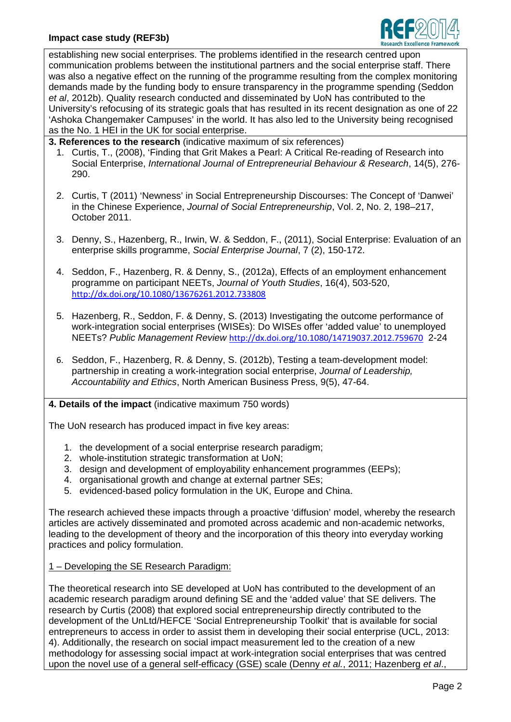### **Impact case study (REF3b)**



establishing new social enterprises. The problems identified in the research centred upon communication problems between the institutional partners and the social enterprise staff. There was also a negative effect on the running of the programme resulting from the complex monitoring demands made by the funding body to ensure transparency in the programme spending (Seddon *et al*, 2012b). Quality research conducted and disseminated by UoN has contributed to the University's refocusing of its strategic goals that has resulted in its recent designation as one of 22 'Ashoka Changemaker Campuses' in the world. It has also led to the University being recognised as the No. 1 HEI in the UK for social enterprise.

**3. References to the research** (indicative maximum of six references)

- 1. Curtis, T., (2008), 'Finding that Grit Makes a Pearl: A Critical Re-reading of Research into Social Enterprise, *International Journal of Entrepreneurial Behaviour & Research*, 14(5), 276- 290.
- 2. Curtis, T (2011) 'Newness' in Social Entrepreneurship Discourses: The Concept of 'Danwei' in the Chinese Experience, *Journal of Social Entrepreneurship*, Vol. 2, No. 2, 198–217, October 2011.
- 3. Denny, S., Hazenberg, R., Irwin, W. & Seddon, F., (2011), Social Enterprise: Evaluation of an enterprise skills programme, *Social Enterprise Journal*, 7 (2), 150-172.
- 4. Seddon, F., Hazenberg, R. & Denny, S., (2012a), Effects of an employment enhancement programme on participant NEETs, *Journal of Youth Studies*, 16(4), 503-520, <http://dx.doi.org/10.1080/13676261.2012.733808>
- 5. Hazenberg, R., Seddon, F. & Denny, S. (2013) Investigating the outcome performance of work-integration social enterprises (WISEs): Do WISEs offer 'added value' to unemployed NEETs? *Public Management Review* <http://dx.doi.org/10.1080/14719037.2012.759670> 2-24
- 6. Seddon, F., Hazenberg, R. & Denny, S. (2012b), Testing a team-development model: partnership in creating a work-integration social enterprise, *Journal of Leadership, Accountability and Ethics*, North American Business Press, 9(5), 47-64.

### **4. Details of the impact** (indicative maximum 750 words)

The UoN research has produced impact in five key areas:

- 1. the development of a social enterprise research paradigm;
- 2. whole-institution strategic transformation at UoN;
- 3. design and development of employability enhancement programmes (EEPs);
- 4. organisational growth and change at external partner SEs;
- 5. evidenced-based policy formulation in the UK, Europe and China.

The research achieved these impacts through a proactive 'diffusion' model, whereby the research articles are actively disseminated and promoted across academic and non-academic networks, leading to the development of theory and the incorporation of this theory into everyday working practices and policy formulation.

1 – Developing the SE Research Paradigm:

The theoretical research into SE developed at UoN has contributed to the development of an academic research paradigm around defining SE and the 'added value' that SE delivers. The research by Curtis (2008) that explored social entrepreneurship directly contributed to the development of the UnLtd/HEFCE 'Social Entrepreneurship Toolkit' that is available for social entrepreneurs to access in order to assist them in developing their social enterprise (UCL, 2013: 4). Additionally, the research on social impact measurement led to the creation of a new methodology for assessing social impact at work-integration social enterprises that was centred upon the novel use of a general self-efficacy (GSE) scale (Denny *et al.*, 2011; Hazenberg *et al*.,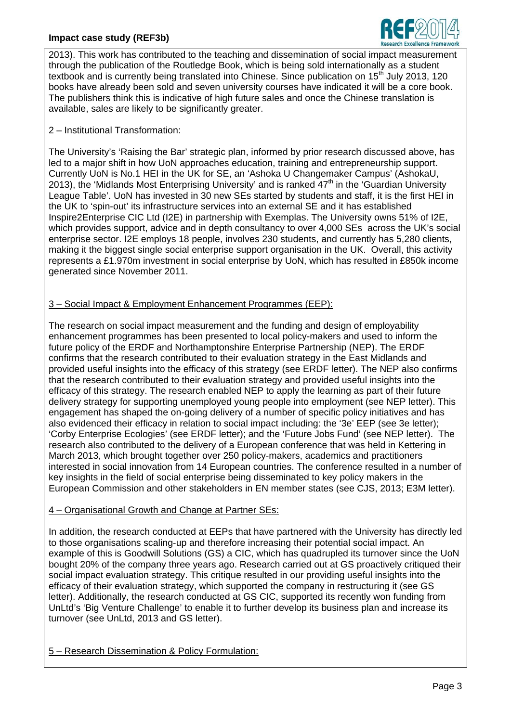### **Impact case study (REF3b)**



2013). This work has contributed to the teaching and dissemination of social impact measurement through the publication of the Routledge Book, which is being sold internationally as a student textbook and is currently being translated into Chinese. Since publication on 15<sup>th</sup> July 2013, 120 books have already been sold and seven university courses have indicated it will be a core book. The publishers think this is indicative of high future sales and once the Chinese translation is available, sales are likely to be significantly greater.

#### 2 – Institutional Transformation:

The University's 'Raising the Bar' strategic plan, informed by prior research discussed above, has led to a major shift in how UoN approaches education, training and entrepreneurship support. Currently UoN is No.1 HEI in the UK for SE, an 'Ashoka U Changemaker Campus' (AshokaU, 2013), the 'Midlands Most Enterprising University' and is ranked  $47<sup>th</sup>$  in the 'Guardian University' League Table'. UoN has invested in 30 new SEs started by students and staff, it is the first HEI in the UK to 'spin-out' its infrastructure services into an external SE and it has established Inspire2Enterprise CIC Ltd (I2E) in partnership with Exemplas. The University owns 51% of I2E, which provides support, advice and in depth consultancy to over 4,000 SEs across the UK's social enterprise sector. I2E employs 18 people, involves 230 students, and currently has 5,280 clients, making it the biggest single social enterprise support organisation in the UK. Overall, this activity represents a £1.970m investment in social enterprise by UoN, which has resulted in £850k income generated since November 2011.

# 3 – Social Impact & Employment Enhancement Programmes (EEP):

The research on social impact measurement and the funding and design of employability enhancement programmes has been presented to local policy-makers and used to inform the future policy of the ERDF and Northamptonshire Enterprise Partnership (NEP). The ERDF confirms that the research contributed to their evaluation strategy in the East Midlands and provided useful insights into the efficacy of this strategy (see ERDF letter). The NEP also confirms that the research contributed to their evaluation strategy and provided useful insights into the efficacy of this strategy. The research enabled NEP to apply the learning as part of their future delivery strategy for supporting unemployed young people into employment (see NEP letter). This engagement has shaped the on-going delivery of a number of specific policy initiatives and has also evidenced their efficacy in relation to social impact including: the '3e' EEP (see 3e letter); 'Corby Enterprise Ecologies' (see ERDF letter); and the 'Future Jobs Fund' (see NEP letter). The research also contributed to the delivery of a European conference that was held in Kettering in March 2013, which brought together over 250 policy-makers, academics and practitioners interested in social innovation from 14 European countries. The conference resulted in a number of key insights in the field of social enterprise being disseminated to key policy makers in the European Commission and other stakeholders in EN member states (see CJS, 2013; E3M letter).

#### 4 – Organisational Growth and Change at Partner SEs:

In addition, the research conducted at EEPs that have partnered with the University has directly led to those organisations scaling-up and therefore increasing their potential social impact. An example of this is Goodwill Solutions (GS) a CIC, which has quadrupled its turnover since the UoN bought 20% of the company three years ago. Research carried out at GS proactively critiqued their social impact evaluation strategy. This critique resulted in our providing useful insights into the efficacy of their evaluation strategy, which supported the company in restructuring it (see GS letter). Additionally, the research conducted at GS CIC, supported its recently won funding from UnLtd's 'Big Venture Challenge' to enable it to further develop its business plan and increase its turnover (see UnLtd, 2013 and GS letter).

5 – Research Dissemination & Policy Formulation: